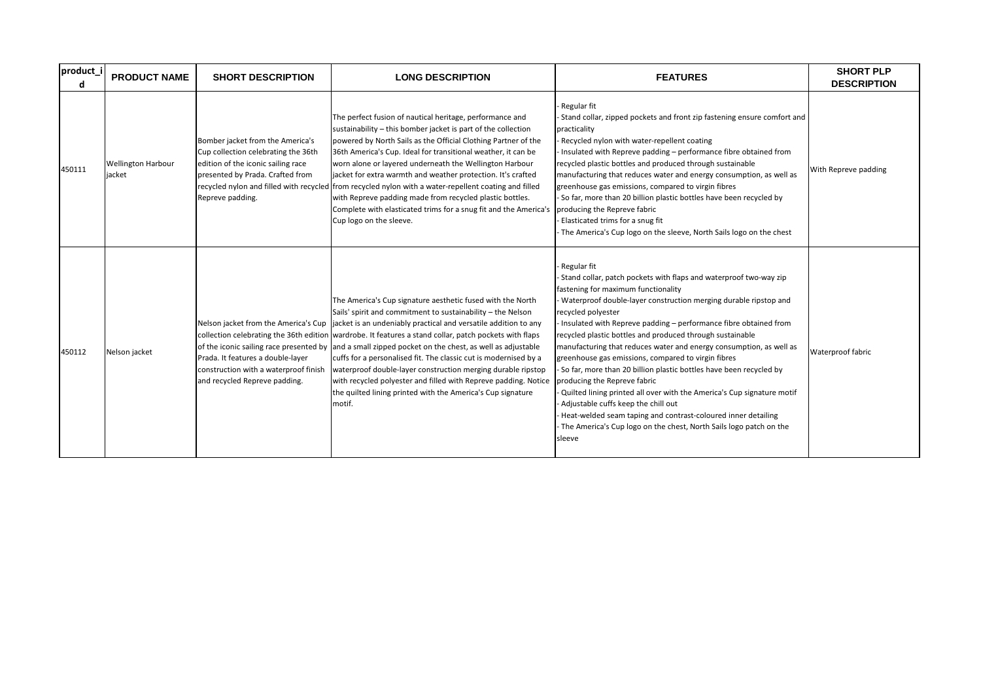| product_i<br>d | <b>PRODUCT NAME</b>                 | <b>SHORT DESCRIPTION</b>                                                                                                                                              | <b>LONG DESCRIPTION</b>                                                                                                                                                                                                                                                                                                                                                                                                                                                                                                                                                                                                                                                                                                                     | <b>FEATURES</b>                                                                                                                                                                                                                                                                                                                                                                                                                                                                                                                                                                                                                                                                                                                                                                                                                                          | <b>SHORT PLP</b><br><b>DESCRIPTION</b> |
|----------------|-------------------------------------|-----------------------------------------------------------------------------------------------------------------------------------------------------------------------|---------------------------------------------------------------------------------------------------------------------------------------------------------------------------------------------------------------------------------------------------------------------------------------------------------------------------------------------------------------------------------------------------------------------------------------------------------------------------------------------------------------------------------------------------------------------------------------------------------------------------------------------------------------------------------------------------------------------------------------------|----------------------------------------------------------------------------------------------------------------------------------------------------------------------------------------------------------------------------------------------------------------------------------------------------------------------------------------------------------------------------------------------------------------------------------------------------------------------------------------------------------------------------------------------------------------------------------------------------------------------------------------------------------------------------------------------------------------------------------------------------------------------------------------------------------------------------------------------------------|----------------------------------------|
| 450111         | <b>Wellington Harbour</b><br>iacket | Bomber jacket from the America's<br>Cup collection celebrating the 36th<br>edition of the iconic sailing race<br>presented by Prada. Crafted from<br>Repreve padding. | The perfect fusion of nautical heritage, performance and<br>sustainability - this bomber jacket is part of the collection<br>powered by North Sails as the Official Clothing Partner of the<br>36th America's Cup. Ideal for transitional weather, it can be<br>worn alone or layered underneath the Wellington Harbour<br>jacket for extra warmth and weather protection. It's crafted<br>recycled nylon and filled with recycled from recycled nylon with a water-repellent coating and filled<br>with Repreve padding made from recycled plastic bottles.<br>Complete with elasticated trims for a snug fit and the America's producing the Repreve fabric<br>Cup logo on the sleeve.                                                    | Regular fit<br>Stand collar, zipped pockets and front zip fastening ensure comfort and<br>practicality<br>Recycled nylon with water-repellent coating<br>Insulated with Repreve padding - performance fibre obtained from<br>recycled plastic bottles and produced through sustainable<br>manufacturing that reduces water and energy consumption, as well as<br>greenhouse gas emissions, compared to virgin fibres<br>- So far, more than 20 billion plastic bottles have been recycled by<br>Elasticated trims for a snug fit<br>The America's Cup logo on the sleeve, North Sails logo on the chest                                                                                                                                                                                                                                                  | With Repreve padding                   |
| 450112         | Nelson jacket                       | Prada. It features a double-layer<br>construction with a waterproof finish<br>and recycled Repreve padding.                                                           | The America's Cup signature aesthetic fused with the North<br>Sails' spirit and commitment to sustainability - the Nelson<br>Nelson jacket from the America's Cup $\int$ jacket is an undeniably practical and versatile addition to any<br>collection celebrating the 36th edition wardrobe. It features a stand collar, patch pockets with flaps<br>of the iconic sailing race presented by and a small zipped pocket on the chest, as well as adjustable<br>cuffs for a personalised fit. The classic cut is modernised by a<br>waterproof double-layer construction merging durable ripstop<br>with recycled polyester and filled with Repreve padding. Notice<br>the quilted lining printed with the America's Cup signature<br>motif. | Regular fit<br>Stand collar, patch pockets with flaps and waterproof two-way zip<br>fastening for maximum functionality<br>Waterproof double-layer construction merging durable ripstop and<br>recycled polyester<br>Insulated with Repreve padding - performance fibre obtained from<br>recycled plastic bottles and produced through sustainable<br>manufacturing that reduces water and energy consumption, as well as<br>greenhouse gas emissions, compared to virgin fibres<br>So far, more than 20 billion plastic bottles have been recycled by<br>producing the Repreve fabric<br>Quilted lining printed all over with the America's Cup signature motif<br>Adjustable cuffs keep the chill out<br>Heat-welded seam taping and contrast-coloured inner detailing<br>The America's Cup logo on the chest, North Sails logo patch on the<br>sleeve | Waterproof fabric                      |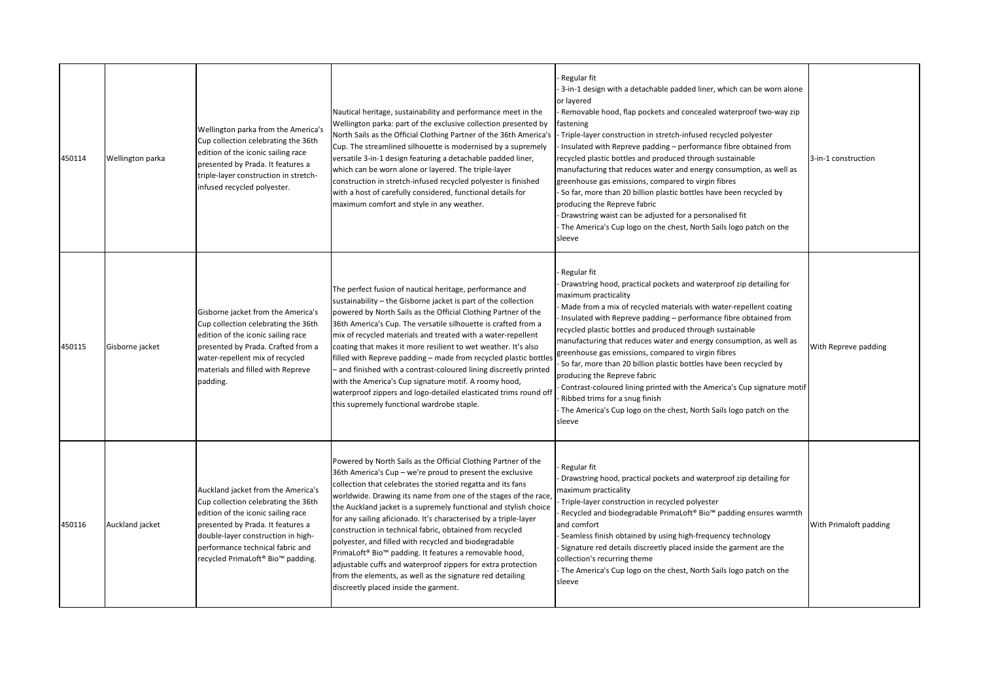| 450114 | Wellington parka | Wellington parka from the America's<br>Cup collection celebrating the 36th<br>edition of the iconic sailing race<br>presented by Prada. It features a<br>triple-layer construction in stretch-<br>infused recycled polyester.                                       | Nautical heritage, sustainability and performance meet in the<br>Wellington parka: part of the exclusive collection presented by<br>North Sails as the Official Clothing Partner of the 36th America's<br>Cup. The streamlined silhouette is modernised by a supremely<br>versatile 3-in-1 design featuring a detachable padded liner,<br>which can be worn alone or layered. The triple-layer<br>construction in stretch-infused recycled polyester is finished<br>with a host of carefully considered, functional details for<br>maximum comfort and style in any weather.                                                                                                                                                                                           | Regular fit<br>3-in-1 design with a detachable padded liner, which can be worn alone<br>or layered<br>Removable hood, flap pockets and concealed waterproof two-way zip<br>fastening<br>Triple-layer construction in stretch-infused recycled polyester<br>Insulated with Repreve padding – performance fibre obtained from<br>recycled plastic bottles and produced through sustainable<br>manufacturing that reduces water and energy consumption, as well as<br>greenhouse gas emissions, compared to virgin fibres<br>So far, more than 20 billion plastic bottles have been recycled by<br>producing the Repreve fabric<br>Drawstring waist can be adjusted for a personalised fit<br>The America's Cup logo on the chest, North Sails logo patch on the<br>sleeve | 3-in-1 construction    |
|--------|------------------|---------------------------------------------------------------------------------------------------------------------------------------------------------------------------------------------------------------------------------------------------------------------|------------------------------------------------------------------------------------------------------------------------------------------------------------------------------------------------------------------------------------------------------------------------------------------------------------------------------------------------------------------------------------------------------------------------------------------------------------------------------------------------------------------------------------------------------------------------------------------------------------------------------------------------------------------------------------------------------------------------------------------------------------------------|-------------------------------------------------------------------------------------------------------------------------------------------------------------------------------------------------------------------------------------------------------------------------------------------------------------------------------------------------------------------------------------------------------------------------------------------------------------------------------------------------------------------------------------------------------------------------------------------------------------------------------------------------------------------------------------------------------------------------------------------------------------------------|------------------------|
| 450115 | Gisborne jacket  | Gisborne jacket from the America's<br>Cup collection celebrating the 36th<br>edition of the iconic sailing race<br>presented by Prada. Crafted from a<br>water-repellent mix of recycled<br>materials and filled with Repreve<br>padding.                           | The perfect fusion of nautical heritage, performance and<br>sustainability – the Gisborne jacket is part of the collection<br>powered by North Sails as the Official Clothing Partner of the<br>36th America's Cup. The versatile silhouette is crafted from a<br>mix of recycled materials and treated with a water-repellent<br>coating that makes it more resilient to wet weather. It's also<br>filled with Repreve padding - made from recycled plastic bottles<br>- and finished with a contrast-coloured lining discreetly printed<br>with the America's Cup signature motif. A roomy hood,<br>waterproof zippers and logo-detailed elasticated trims round off<br>this supremely functional wardrobe staple.                                                   | Regular fit<br>Drawstring hood, practical pockets and waterproof zip detailing for<br>maximum practicality<br>Made from a mix of recycled materials with water-repellent coating<br>Insulated with Repreve padding - performance fibre obtained from<br>recycled plastic bottles and produced through sustainable<br>manufacturing that reduces water and energy consumption, as well as<br>greenhouse gas emissions, compared to virgin fibres<br>So far, more than 20 billion plastic bottles have been recycled by<br>producing the Repreve fabric<br>Contrast-coloured lining printed with the America's Cup signature motif<br>Ribbed trims for a snug finish<br>The America's Cup logo on the chest, North Sails logo patch on the<br>sleeve                      | With Repreve padding   |
| 450116 | Auckland jacket  | Auckland jacket from the America's<br>Cup collection celebrating the 36th<br>edition of the iconic sailing race<br>presented by Prada. It features a<br>double-layer construction in high-<br>performance technical fabric and<br>recycled PrimaLoft® Bio™ padding. | Powered by North Sails as the Official Clothing Partner of the<br>36th America's Cup - we're proud to present the exclusive<br>collection that celebrates the storied regatta and its fans<br>worldwide. Drawing its name from one of the stages of the race,<br>the Auckland jacket is a supremely functional and stylish choice<br>for any sailing aficionado. It's characterised by a triple-layer<br>construction in technical fabric, obtained from recycled<br>polyester, and filled with recycled and biodegradable<br>PrimaLoft® Bio <sup>™</sup> padding. It features a removable hood,<br>adjustable cuffs and waterproof zippers for extra protection<br>from the elements, as well as the signature red detailing<br>discreetly placed inside the garment. | Regular fit<br>Drawstring hood, practical pockets and waterproof zip detailing for<br>maximum practicality<br>Triple-layer construction in recycled polyester<br>Recycled and biodegradable PrimaLoft® Bio™ padding ensures warmth<br>and comfort<br>Seamless finish obtained by using high-frequency technology<br>Signature red details discreetly placed inside the garment are the<br>collection's recurring theme<br>The America's Cup logo on the chest, North Sails logo patch on the<br>sleeve                                                                                                                                                                                                                                                                  | With Primaloft padding |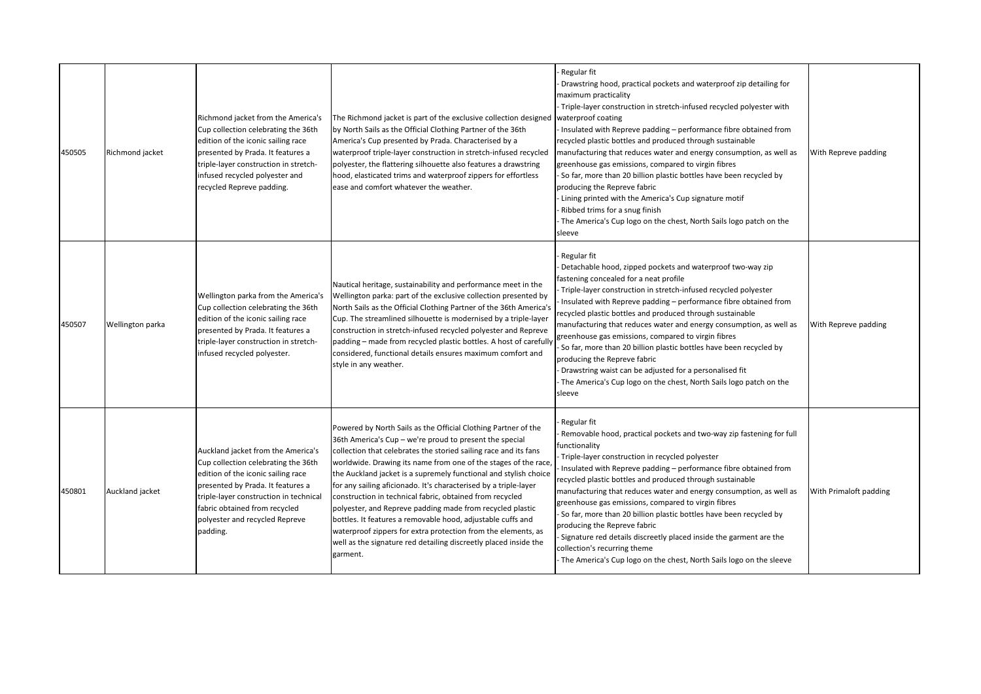| 450505 | Richmond jacket  | Richmond jacket from the America's<br>Cup collection celebrating the 36th<br>edition of the iconic sailing race<br>presented by Prada. It features a<br>triple-layer construction in stretch-<br>infused recycled polyester and<br>recycled Repreve padding.                  | The Richmond jacket is part of the exclusive collection designed<br>by North Sails as the Official Clothing Partner of the 36th<br>America's Cup presented by Prada. Characterised by a<br>waterproof triple-layer construction in stretch-infused recycled<br>polyester, the flattering silhouette also features a drawstring<br>hood, elasticated trims and waterproof zippers for effortless<br>ease and comfort whatever the weather.                                                                                                                                                                                                                                                                                                         | Regular fit<br>Drawstring hood, practical pockets and waterproof zip detailing for<br>maximum practicality<br>Triple-layer construction in stretch-infused recycled polyester with<br>waterproof coating<br>Insulated with Repreve padding - performance fibre obtained from<br>recycled plastic bottles and produced through sustainable<br>manufacturing that reduces water and energy consumption, as well as<br>greenhouse gas emissions, compared to virgin fibres<br>So far, more than 20 billion plastic bottles have been recycled by<br>producing the Repreve fabric<br>- Lining printed with the America's Cup signature motif<br>Ribbed trims for a snug finish<br>The America's Cup logo on the chest, North Sails logo patch on the<br>sleeve | With Repreve padding   |
|--------|------------------|-------------------------------------------------------------------------------------------------------------------------------------------------------------------------------------------------------------------------------------------------------------------------------|---------------------------------------------------------------------------------------------------------------------------------------------------------------------------------------------------------------------------------------------------------------------------------------------------------------------------------------------------------------------------------------------------------------------------------------------------------------------------------------------------------------------------------------------------------------------------------------------------------------------------------------------------------------------------------------------------------------------------------------------------|------------------------------------------------------------------------------------------------------------------------------------------------------------------------------------------------------------------------------------------------------------------------------------------------------------------------------------------------------------------------------------------------------------------------------------------------------------------------------------------------------------------------------------------------------------------------------------------------------------------------------------------------------------------------------------------------------------------------------------------------------------|------------------------|
| 450507 | Wellington parka | Wellington parka from the America's<br>Cup collection celebrating the 36th<br>edition of the iconic sailing race<br>presented by Prada. It features a<br>triple-layer construction in stretch-<br>infused recycled polyester.                                                 | Nautical heritage, sustainability and performance meet in the<br>Wellington parka: part of the exclusive collection presented by<br>North Sails as the Official Clothing Partner of the 36th America's<br>Cup. The streamlined silhouette is modernised by a triple-layer<br>construction in stretch-infused recycled polyester and Repreve<br>padding - made from recycled plastic bottles. A host of carefully<br>considered, functional details ensures maximum comfort and<br>style in any weather.                                                                                                                                                                                                                                           | Regular fit<br>Detachable hood, zipped pockets and waterproof two-way zip<br>fastening concealed for a neat profile<br>Triple-layer construction in stretch-infused recycled polyester<br>Insulated with Repreve padding - performance fibre obtained from<br>ecycled plastic bottles and produced through sustainable<br>manufacturing that reduces water and energy consumption, as well as<br>greenhouse gas emissions, compared to virgin fibres<br>So far, more than 20 billion plastic bottles have been recycled by<br>producing the Repreve fabric<br>Drawstring waist can be adjusted for a personalised fit<br>The America's Cup logo on the chest, North Sails logo patch on the<br>sleeve                                                      | With Repreve padding   |
| 450801 | Auckland jacket  | Auckland jacket from the America's<br>Cup collection celebrating the 36th<br>edition of the iconic sailing race<br>presented by Prada. It features a<br>triple-layer construction in technical<br>fabric obtained from recycled<br>polyester and recycled Repreve<br>padding. | Powered by North Sails as the Official Clothing Partner of the<br>36th America's Cup - we're proud to present the special<br>collection that celebrates the storied sailing race and its fans<br>worldwide. Drawing its name from one of the stages of the race,<br>the Auckland jacket is a supremely functional and stylish choice<br>for any sailing aficionado. It's characterised by a triple-layer<br>construction in technical fabric, obtained from recycled<br>polyester, and Repreve padding made from recycled plastic<br>bottles. It features a removable hood, adjustable cuffs and<br>waterproof zippers for extra protection from the elements, as<br>well as the signature red detailing discreetly placed inside the<br>garment. | Regular fit<br>Removable hood, practical pockets and two-way zip fastening for full<br>unctionality<br>Triple-layer construction in recycled polyester<br>Insulated with Repreve padding - performance fibre obtained from<br>recycled plastic bottles and produced through sustainable<br>manufacturing that reduces water and energy consumption, as well as<br>greenhouse gas emissions, compared to virgin fibres<br>So far, more than 20 billion plastic bottles have been recycled by<br>producing the Repreve fabric<br>Signature red details discreetly placed inside the garment are the<br>collection's recurring theme<br>The America's Cup logo on the chest, North Sails logo on the sleeve                                                   | With Primaloft padding |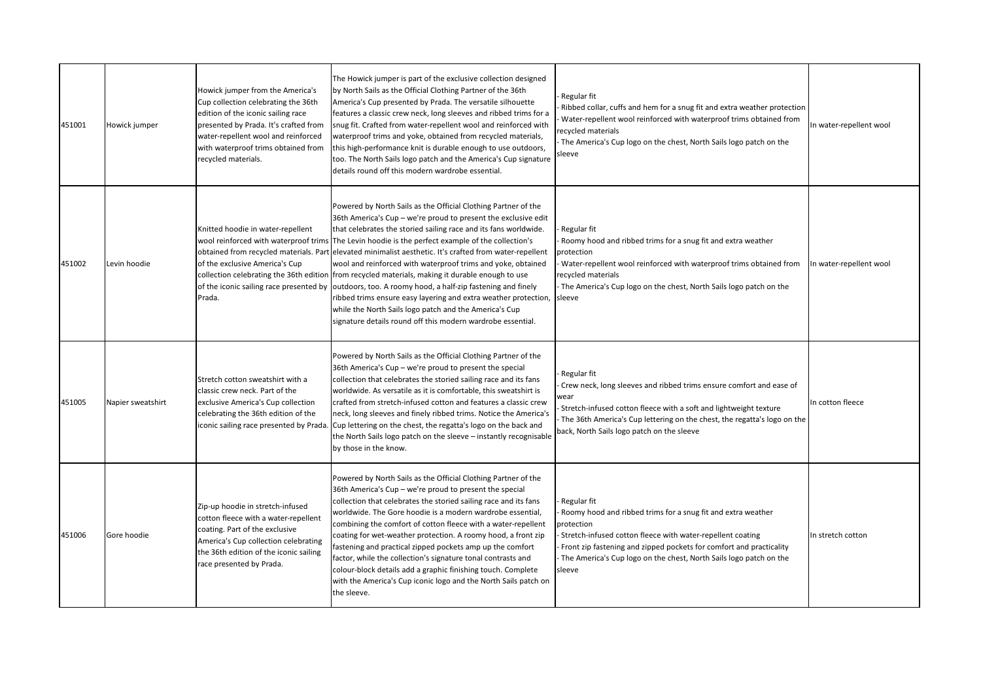| 451001 | Howick jumper     | Howick jumper from the America's<br>Cup collection celebrating the 36th<br>edition of the iconic sailing race<br>presented by Prada. It's crafted from<br>water-repellent wool and reinforced<br>with waterproof trims obtained from<br>recycled materials. | The Howick jumper is part of the exclusive collection designed<br>by North Sails as the Official Clothing Partner of the 36th<br>America's Cup presented by Prada. The versatile silhouette<br>features a classic crew neck, long sleeves and ribbed trims for a<br>snug fit. Crafted from water-repellent wool and reinforced with<br>waterproof trims and yoke, obtained from recycled materials,<br>this high-performance knit is durable enough to use outdoors,<br>too. The North Sails logo patch and the America's Cup signature<br>details round off this modern wardrobe essential.                                                                                                                                                                                                                                                         | Regular fit<br>Ribbed collar, cuffs and hem for a snug fit and extra weather protection<br>Water-repellent wool reinforced with waterproof trims obtained from<br>ecycled materials<br>The America's Cup logo on the chest, North Sails logo patch on the<br>sleeve                                            | In water-repellent wool |
|--------|-------------------|-------------------------------------------------------------------------------------------------------------------------------------------------------------------------------------------------------------------------------------------------------------|------------------------------------------------------------------------------------------------------------------------------------------------------------------------------------------------------------------------------------------------------------------------------------------------------------------------------------------------------------------------------------------------------------------------------------------------------------------------------------------------------------------------------------------------------------------------------------------------------------------------------------------------------------------------------------------------------------------------------------------------------------------------------------------------------------------------------------------------------|----------------------------------------------------------------------------------------------------------------------------------------------------------------------------------------------------------------------------------------------------------------------------------------------------------------|-------------------------|
| 451002 | Levin hoodie      | Knitted hoodie in water-repellent<br>of the exclusive America's Cup<br>of the iconic sailing race presented by<br>Prada.                                                                                                                                    | Powered by North Sails as the Official Clothing Partner of the<br>36th America's Cup - we're proud to present the exclusive edit<br>that celebrates the storied sailing race and its fans worldwide.<br>wool reinforced with waterproof trims The Levin hoodie is the perfect example of the collection's<br>obtained from recycled materials. Part elevated minimalist aesthetic. It's crafted from water-repellent<br>wool and reinforced with waterproof trims and yoke, obtained<br>collection celebrating the 36th edition from recycled materials, making it durable enough to use<br>outdoors, too. A roomy hood, a half-zip fastening and finely<br>ribbed trims ensure easy layering and extra weather protection,<br>while the North Sails logo patch and the America's Cup<br>signature details round off this modern wardrobe essential. | Regular fit<br>Roomy hood and ribbed trims for a snug fit and extra weather<br>protection<br>Water-repellent wool reinforced with waterproof trims obtained from<br>recycled materials<br>The America's Cup logo on the chest, North Sails logo patch on the<br>sleeve                                         | In water-repellent wool |
| 451005 | Napier sweatshirt | Stretch cotton sweatshirt with a<br>classic crew neck. Part of the<br>exclusive America's Cup collection<br>celebrating the 36th edition of the<br>iconic sailing race presented by Prada                                                                   | Powered by North Sails as the Official Clothing Partner of the<br>36th America's Cup - we're proud to present the special<br>collection that celebrates the storied sailing race and its fans<br>worldwide. As versatile as it is comfortable, this sweatshirt is<br>crafted from stretch-infused cotton and features a classic crew<br>neck, long sleeves and finely ribbed trims. Notice the America's<br>Cup lettering on the chest, the regatta's logo on the back and<br>the North Sails logo patch on the sleeve - instantly recognisable<br>by those in the know.                                                                                                                                                                                                                                                                             | Regular fit<br>Crew neck, long sleeves and ribbed trims ensure comfort and ease of<br>vear<br>Stretch-infused cotton fleece with a soft and lightweight texture<br>The 36th America's Cup lettering on the chest, the regatta's logo on the<br>back, North Sails logo patch on the sleeve                      | In cotton fleece        |
| 451006 | Gore hoodie       | Zip-up hoodie in stretch-infused<br>cotton fleece with a water-repellent<br>coating. Part of the exclusive<br>America's Cup collection celebrating<br>the 36th edition of the iconic sailing<br>race presented by Prada.                                    | Powered by North Sails as the Official Clothing Partner of the<br>36th America's Cup - we're proud to present the special<br>collection that celebrates the storied sailing race and its fans<br>worldwide. The Gore hoodie is a modern wardrobe essential,<br>combining the comfort of cotton fleece with a water-repellent<br>coating for wet-weather protection. A roomy hood, a front zip<br>fastening and practical zipped pockets amp up the comfort<br>factor, while the collection's signature tonal contrasts and<br>colour-block details add a graphic finishing touch. Complete<br>with the America's Cup iconic logo and the North Sails patch on<br>the sleeve.                                                                                                                                                                         | Regular fit<br>Roomy hood and ribbed trims for a snug fit and extra weather<br>orotection<br>Stretch-infused cotton fleece with water-repellent coating<br>Front zip fastening and zipped pockets for comfort and practicality<br>The America's Cup logo on the chest, North Sails logo patch on the<br>sleeve | In stretch cotton       |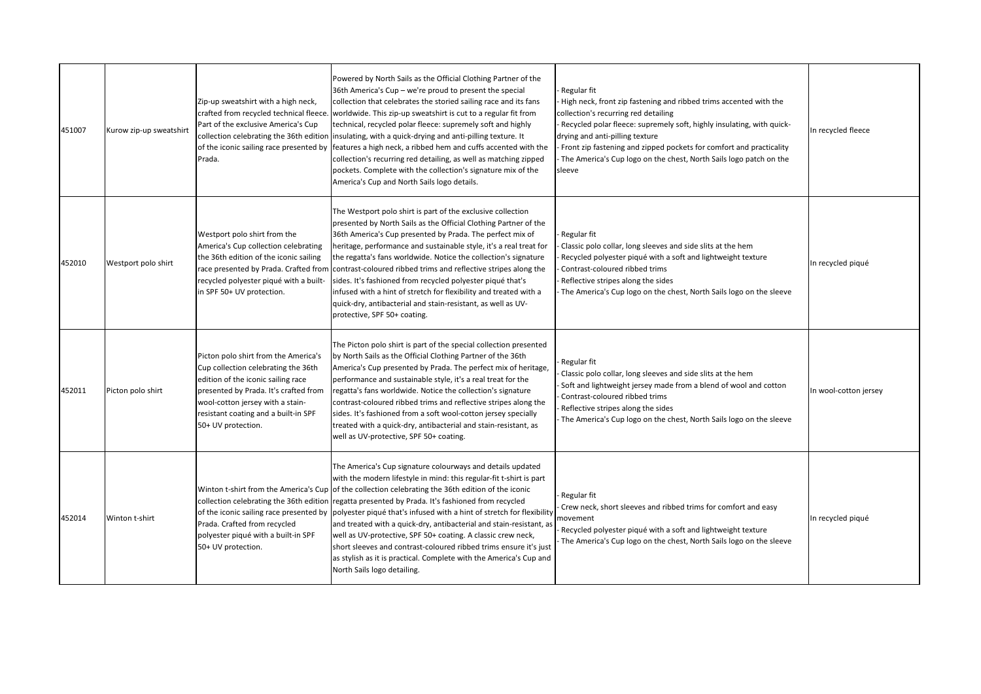| 451007 | Kurow zip-up sweatshirt | Zip-up sweatshirt with a high neck,<br>crafted from recycled technical fleece.<br>Part of the exclusive America's Cup<br>Prada.                                                                                                                              | Powered by North Sails as the Official Clothing Partner of the<br>36th America's Cup - we're proud to present the special<br>collection that celebrates the storied sailing race and its fans<br>worldwide. This zip-up sweatshirt is cut to a regular fit from<br>technical, recycled polar fleece: supremely soft and highly<br>collection celebrating the 36th edition insulating, with a quick-drying and anti-pilling texture. It<br>of the iconic sailing race presented by features a high neck, a ribbed hem and cuffs accented with the<br>collection's recurring red detailing, as well as matching zipped<br>pockets. Complete with the collection's signature mix of the<br>America's Cup and North Sails logo details.                                            | Regular fit<br>- High neck, front zip fastening and ribbed trims accented with the<br>collection's recurring red detailing<br>- Recycled polar fleece: supremely soft, highly insulating, with quick-<br>drying and anti-pilling texture<br>Front zip fastening and zipped pockets for comfort and practicality<br>- The America's Cup logo on the chest, North Sails logo patch on the<br>sleeve | In recycled fleece    |
|--------|-------------------------|--------------------------------------------------------------------------------------------------------------------------------------------------------------------------------------------------------------------------------------------------------------|--------------------------------------------------------------------------------------------------------------------------------------------------------------------------------------------------------------------------------------------------------------------------------------------------------------------------------------------------------------------------------------------------------------------------------------------------------------------------------------------------------------------------------------------------------------------------------------------------------------------------------------------------------------------------------------------------------------------------------------------------------------------------------|---------------------------------------------------------------------------------------------------------------------------------------------------------------------------------------------------------------------------------------------------------------------------------------------------------------------------------------------------------------------------------------------------|-----------------------|
| 452010 | Westport polo shirt     | Westport polo shirt from the<br>America's Cup collection celebrating<br>the 36th edition of the iconic sailing<br>recycled polyester piqué with a built-<br>in SPF 50+ UV protection.                                                                        | The Westport polo shirt is part of the exclusive collection<br>presented by North Sails as the Official Clothing Partner of the<br>36th America's Cup presented by Prada. The perfect mix of<br>heritage, performance and sustainable style, it's a real treat for<br>the regatta's fans worldwide. Notice the collection's signature<br>race presented by Prada. Crafted from contrast-coloured ribbed trims and reflective stripes along the<br>sides. It's fashioned from recycled polyester piqué that's<br>infused with a hint of stretch for flexibility and treated with a<br>quick-dry, antibacterial and stain-resistant, as well as UV-<br>protective, SPF 50+ coating.                                                                                              | Regular fit<br>Classic polo collar, long sleeves and side slits at the hem<br>Recycled polyester piqué with a soft and lightweight texture<br>Contrast-coloured ribbed trims<br>Reflective stripes along the sides<br>The America's Cup logo on the chest, North Sails logo on the sleeve                                                                                                         | In recycled piqué     |
| 452011 | Picton polo shirt       | Picton polo shirt from the America's<br>Cup collection celebrating the 36th<br>edition of the iconic sailing race<br>presented by Prada. It's crafted from<br>wool-cotton jersey with a stain-<br>resistant coating and a built-in SPF<br>50+ UV protection. | The Picton polo shirt is part of the special collection presented<br>by North Sails as the Official Clothing Partner of the 36th<br>America's Cup presented by Prada. The perfect mix of heritage,<br>performance and sustainable style, it's a real treat for the<br>regatta's fans worldwide. Notice the collection's signature<br>contrast-coloured ribbed trims and reflective stripes along the<br>sides. It's fashioned from a soft wool-cotton jersey specially<br>treated with a quick-dry, antibacterial and stain-resistant, as<br>well as UV-protective, SPF 50+ coating.                                                                                                                                                                                           | Regular fit<br>Classic polo collar, long sleeves and side slits at the hem<br>Soft and lightweight jersey made from a blend of wool and cotton<br>Contrast-coloured ribbed trims<br>Reflective stripes along the sides<br>The America's Cup logo on the chest, North Sails logo on the sleeve                                                                                                     | In wool-cotton jersey |
| 452014 | Winton t-shirt          | Prada. Crafted from recycled<br>polyester piqué with a built-in SPF<br>50+ UV protection.                                                                                                                                                                    | The America's Cup signature colourways and details updated<br>with the modern lifestyle in mind: this regular-fit t-shirt is part<br>Winton t-shirt from the America's Cup of the collection celebrating the 36th edition of the iconic<br>collection celebrating the 36th edition regatta presented by Prada. It's fashioned from recycled<br>of the iconic sailing race presented by  polyester piqué that's infused with a hint of stretch for flexibility<br>and treated with a quick-dry, antibacterial and stain-resistant, as<br>well as UV-protective, SPF 50+ coating. A classic crew neck,<br>short sleeves and contrast-coloured ribbed trims ensure it's just<br>as stylish as it is practical. Complete with the America's Cup and<br>North Sails logo detailing. | Regular fit<br>Crew neck, short sleeves and ribbed trims for comfort and easy<br>movement<br>Recycled polyester piqué with a soft and lightweight texture<br>The America's Cup logo on the chest, North Sails logo on the sleeve                                                                                                                                                                  | In recycled piqué     |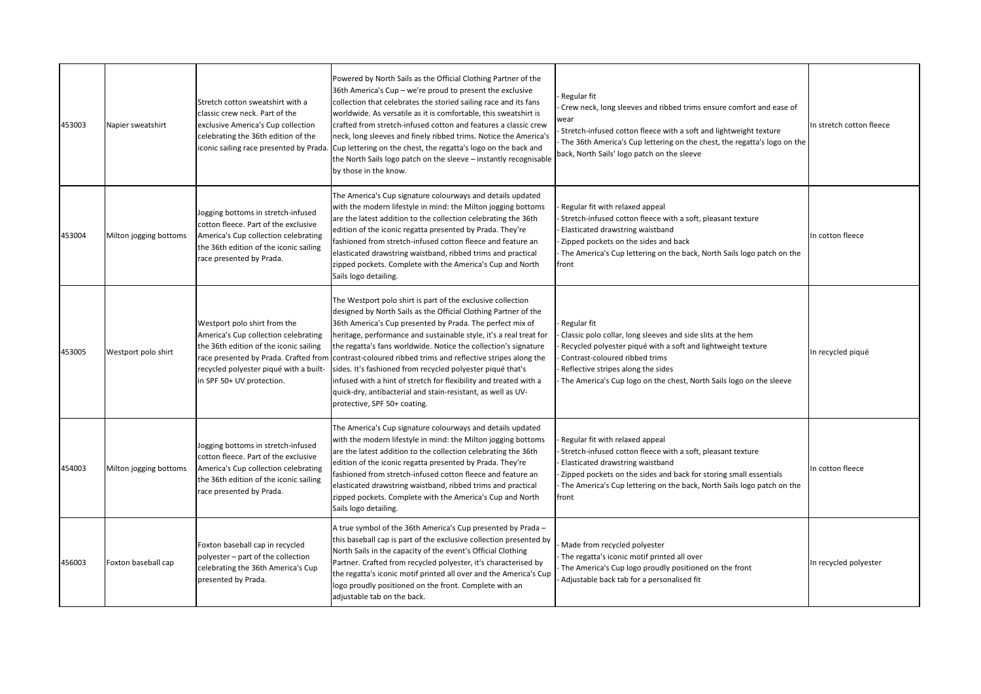| 453003 | Napier sweatshirt      | Stretch cotton sweatshirt with a<br>classic crew neck. Part of the<br>exclusive America's Cup collection<br>celebrating the 36th edition of the<br>iconic sailing race presented by Prada | Powered by North Sails as the Official Clothing Partner of the<br>36th America's Cup - we're proud to present the exclusive<br>collection that celebrates the storied sailing race and its fans<br>worldwide. As versatile as it is comfortable, this sweatshirt is<br>crafted from stretch-infused cotton and features a classic crew<br>neck, long sleeves and finely ribbed trims. Notice the America's<br>. Cup lettering on the chest, the regatta's logo on the back and<br>the North Sails logo patch on the sleeve - instantly recognisable<br>by those in the know.                                                                                                     | Regular fit<br>Crew neck, long sleeves and ribbed trims ensure comfort and ease of<br>vear<br>Stretch-infused cotton fleece with a soft and lightweight texture<br>The 36th America's Cup lettering on the chest, the regatta's logo on the<br>back, North Sails' logo patch on the sleeve | In stretch cotton fleece |
|--------|------------------------|-------------------------------------------------------------------------------------------------------------------------------------------------------------------------------------------|----------------------------------------------------------------------------------------------------------------------------------------------------------------------------------------------------------------------------------------------------------------------------------------------------------------------------------------------------------------------------------------------------------------------------------------------------------------------------------------------------------------------------------------------------------------------------------------------------------------------------------------------------------------------------------|--------------------------------------------------------------------------------------------------------------------------------------------------------------------------------------------------------------------------------------------------------------------------------------------|--------------------------|
| 453004 | Milton jogging bottoms | Jogging bottoms in stretch-infused<br>cotton fleece. Part of the exclusive<br>America's Cup collection celebrating<br>the 36th edition of the iconic sailing<br>race presented by Prada.  | The America's Cup signature colourways and details updated<br>with the modern lifestyle in mind: the Milton jogging bottoms<br>are the latest addition to the collection celebrating the 36th<br>edition of the iconic regatta presented by Prada. They're<br>fashioned from stretch-infused cotton fleece and feature an<br>elasticated drawstring waistband, ribbed trims and practical<br>zipped pockets. Complete with the America's Cup and North<br>Sails logo detailing.                                                                                                                                                                                                  | Regular fit with relaxed appeal<br>Stretch-infused cotton fleece with a soft, pleasant texture<br>Elasticated drawstring waistband<br>Zipped pockets on the sides and back<br>The America's Cup lettering on the back, North Sails logo patch on the<br>front                              | In cotton fleece         |
| 453005 | Westport polo shirt    | Westport polo shirt from the<br>America's Cup collection celebrating<br>the 36th edition of the iconic sailing<br>recycled polyester piqué with a built-<br>in SPF 50+ UV protection.     | The Westport polo shirt is part of the exclusive collection<br>designed by North Sails as the Official Clothing Partner of the<br>36th America's Cup presented by Prada. The perfect mix of<br>heritage, performance and sustainable style, it's a real treat for<br>the regatta's fans worldwide. Notice the collection's signature<br>race presented by Prada. Crafted from contrast-coloured ribbed trims and reflective stripes along the<br>sides. It's fashioned from recycled polyester piqué that's<br>infused with a hint of stretch for flexibility and treated with a<br>quick-dry, antibacterial and stain-resistant, as well as UV-<br>protective, SPF 50+ coating. | Regular fit<br>Classic polo collar, long sleeves and side slits at the hem<br>Recycled polyester piqué with a soft and lightweight texture<br>Contrast-coloured ribbed trims<br>Reflective stripes along the sides<br>The America's Cup logo on the chest, North Sails logo on the sleeve  | In recycled piqué        |
| 454003 | Milton jogging bottoms | Jogging bottoms in stretch-infused<br>cotton fleece. Part of the exclusive<br>America's Cup collection celebrating<br>the 36th edition of the iconic sailing<br>race presented by Prada.  | The America's Cup signature colourways and details updated<br>with the modern lifestyle in mind: the Milton jogging bottoms<br>are the latest addition to the collection celebrating the 36th<br>edition of the iconic regatta presented by Prada. They're<br>fashioned from stretch-infused cotton fleece and feature an<br>elasticated drawstring waistband, ribbed trims and practical<br>zipped pockets. Complete with the America's Cup and North<br>Sails logo detailing.                                                                                                                                                                                                  | Regular fit with relaxed appeal<br>Stretch-infused cotton fleece with a soft, pleasant texture<br>Elasticated drawstring waistband<br>Zipped pockets on the sides and back for storing small essentials<br>The America's Cup lettering on the back, North Sails logo patch on the<br>front | In cotton fleece         |
| 456003 | Foxton baseball cap    | Foxton baseball cap in recycled<br>polyester - part of the collection<br>celebrating the 36th America's Cup<br>presented by Prada.                                                        | A true symbol of the 36th America's Cup presented by Prada -<br>this baseball cap is part of the exclusive collection presented by<br>North Sails in the capacity of the event's Official Clothing<br>Partner. Crafted from recycled polyester, it's characterised by<br>the regatta's iconic motif printed all over and the America's Cup<br>logo proudly positioned on the front. Complete with an<br>adjustable tab on the back.                                                                                                                                                                                                                                              | Made from recycled polyester<br>The regatta's iconic motif printed all over<br>The America's Cup logo proudly positioned on the front<br>Adjustable back tab for a personalised fit                                                                                                        | In recycled polyester    |